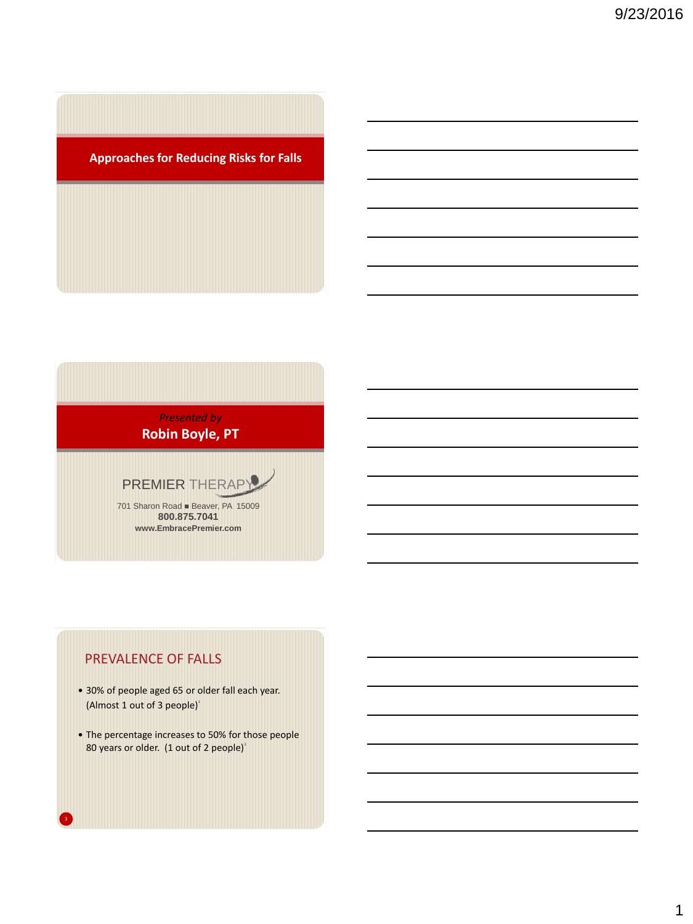

*Presented by* **Robin Boyle, PT**

PREMIER THERAPY

701 Sharon Road Beaver, PA 15009 **800.875.7041 www.EmbracePremier.com**

## PREVALENCE OF FALLS

- 30% of people aged 65 or older fall each year. (Almost 1 out of 3 people) $2$
- The percentage increases to 50% for those people 80 years or older. (1 out of 2 people) $^2$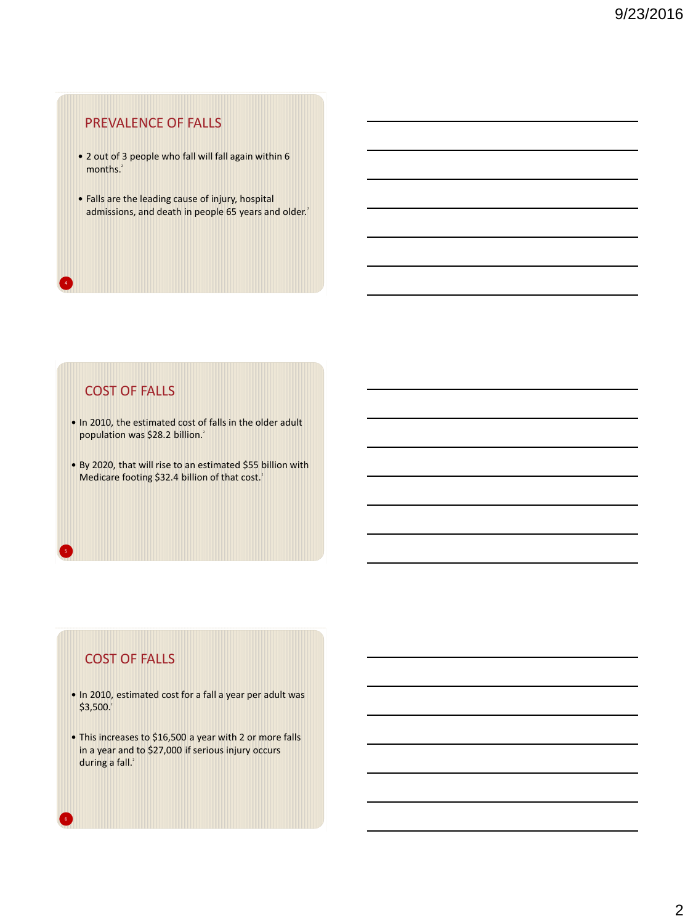## PREVALENCE OF FALLS

- 2 out of 3 people who fall will fall again within 6 months.<sup>2</sup>
- Falls are the leading cause of injury, hospital admissions, and death in people 65 years and older.<sup>2</sup>

## COST OF FALLS

4

- In 2010, the estimated cost of falls in the older adult population was \$28.2 billion.<sup>2</sup>
- By 2020, that will rise to an estimated \$55 billion with Medicare footing \$32.4 billion of that cost.<sup>2</sup>

## COST OF FALLS

- In 2010, estimated cost for a fall a year per adult was  $$3,500.<sup>2</sup>$
- This increases to \$16,500 a year with 2 or more falls in a year and to \$27,000 if serious injury occurs during a fall.<sup>2</sup>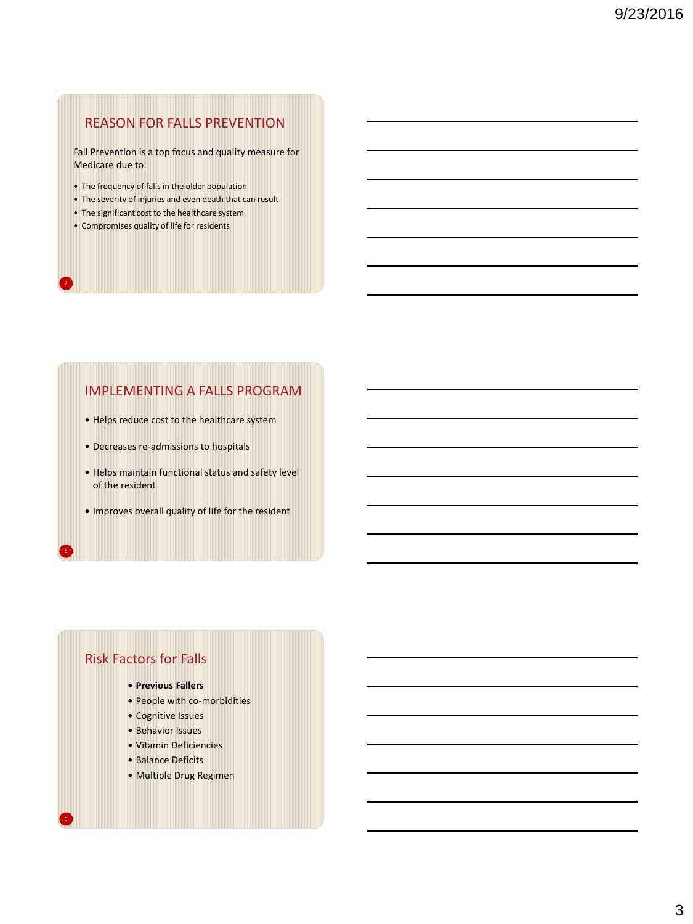## REASON FOR FALLS PREVENTION

Fall Prevention is a top focus and quality measure for Medicare due to:

- The frequency of falls in the older population
- The severity of injuries and even death that can result
- The significant cost to the healthcare system
- Compromises quality of life for residents

7

## IMPLEMENTING A FALLS PROGRAM

- Helps reduce cost to the healthcare system
- Decreases re-admissions to hospitals
- Helps maintain functional status and safety level of the resident
- Improves overall quality of life for the resident

## Risk Factors for Falls

- **Previous Fallers**
- People with co-morbidities
- Cognitive Issues
- Behavior Issues
- Vitamin Deficiencies
- Balance Deficits
- Multiple Drug Regimen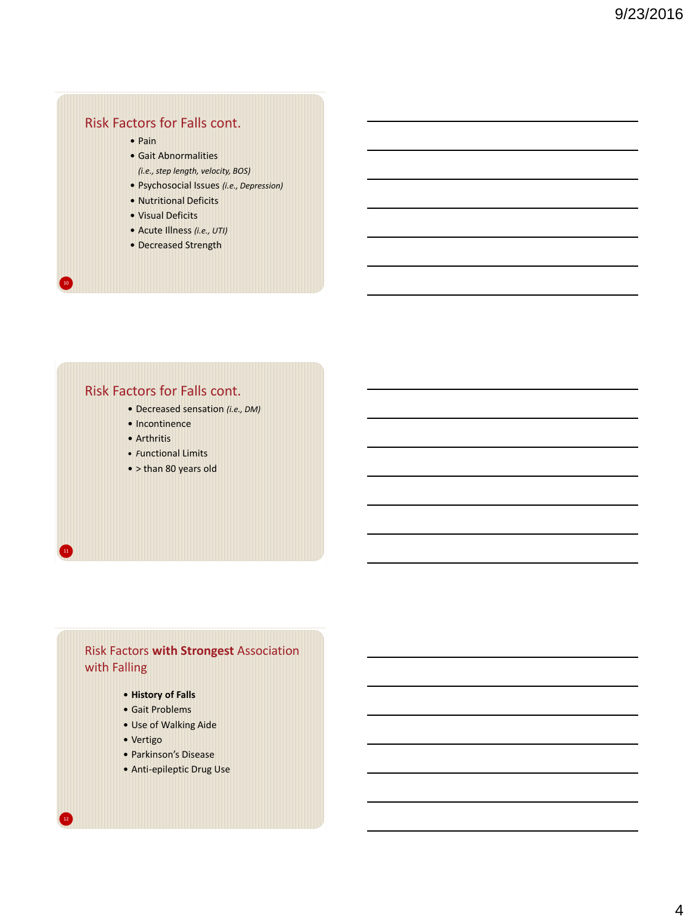## Risk Factors for Falls cont.

 $\bullet$  Pain

10

11

12

- Gait Abnormalities
- *(i.e., step length, velocity, BOS)*
- Psychosocial Issues *(i.e., Depression)*
- Nutritional Deficits
- Visual Deficits
- Acute Illness *(i.e., UTI)*
- Decreased Strength

## Risk Factors for Falls cont.

- Decreased sensation *(i.e., DM)*
- Incontinence
- Arthritis
- *F*unctional Limits
- > than 80 years old

## Risk Factors **with Strongest** Association with Falling

- **History of Falls**
- Gait Problems
- Use of Walking Aide
- Vertigo
- Parkinson's Disease
- Anti-epileptic Drug Use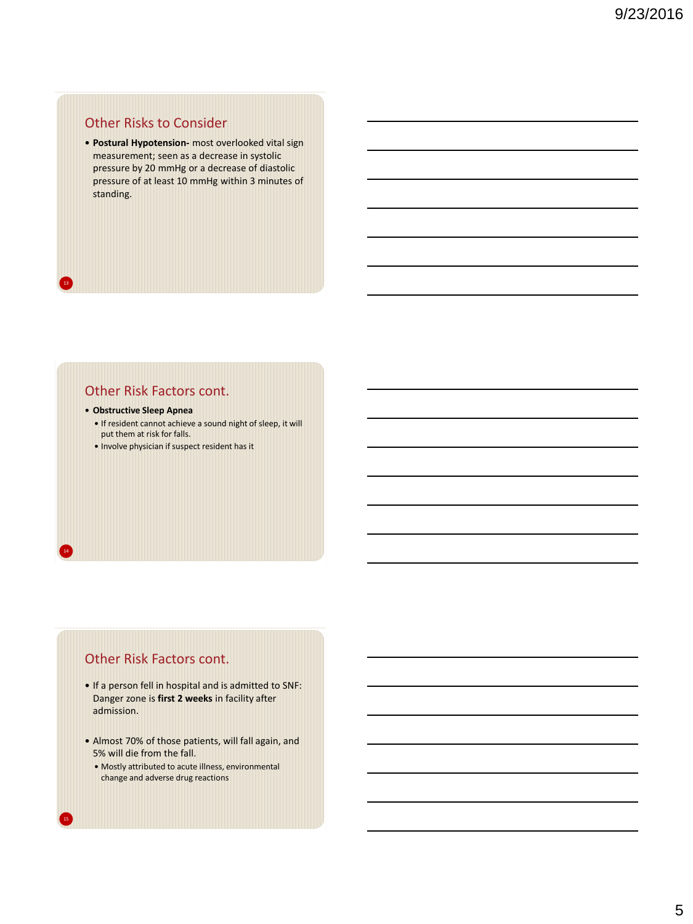## Other Risks to Consider

 **Postural Hypotension-** most overlooked vital sign measurement; seen as a decrease in systolic pressure by 20 mmHg or a decrease of diastolic pressure of at least 10 mmHg within 3 minutes of standing.

## Other Risk Factors cont.

## **Obstructive Sleep Apnea**

13

14

15

- If resident cannot achieve a sound night of sleep, it will put them at risk for falls.
- Involve physician if suspect resident has it

## Other Risk Factors cont.

- If a person fell in hospital and is admitted to SNF: Danger zone is **first 2 weeks** in facility after admission.
- Almost 70% of those patients, will fall again, and 5% will die from the fall.
	- Mostly attributed to acute illness, environmental change and adverse drug reactions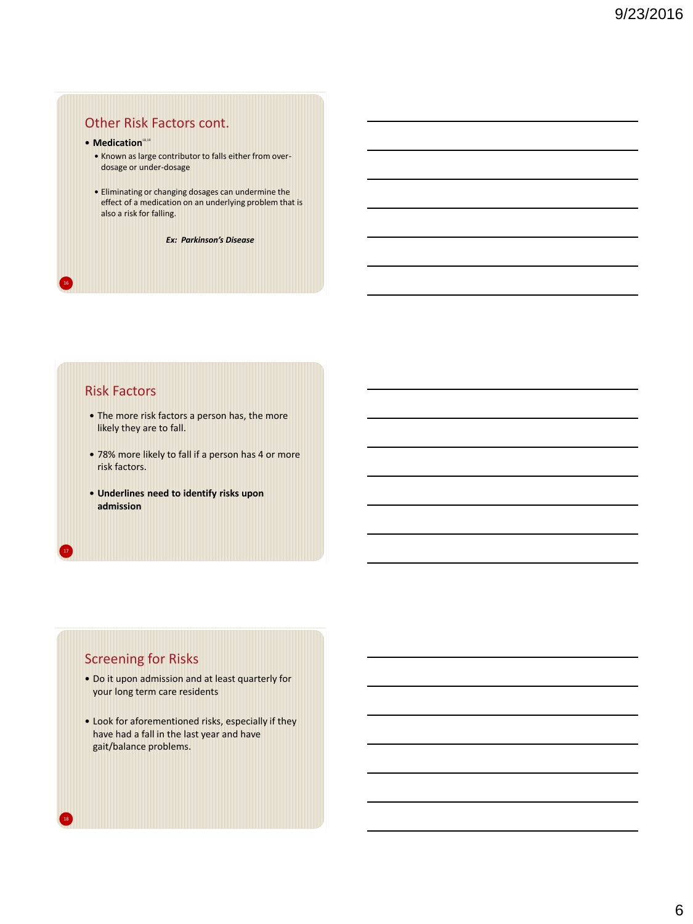# Other Risk Factors cont.

- **Medication**<sup>18,19</sup>
	- Known as large contributor to falls either from overdosage or under-dosage
	- Eliminating or changing dosages can undermine the effect of a medication on an underlying problem that is also a risk for falling.

*Ex: Parkinson's Disease*

## Risk Factors

16

17

18

- The more risk factors a person has, the more likely they are to fall.
- 78% more likely to fall if a person has 4 or more risk factors.
- **Underlines need to identify risks upon admission**

# Screening for Risks

- Do it upon admission and at least quarterly for your long term care residents
- Look for aforementioned risks, especially if they have had a fall in the last year and have gait/balance problems.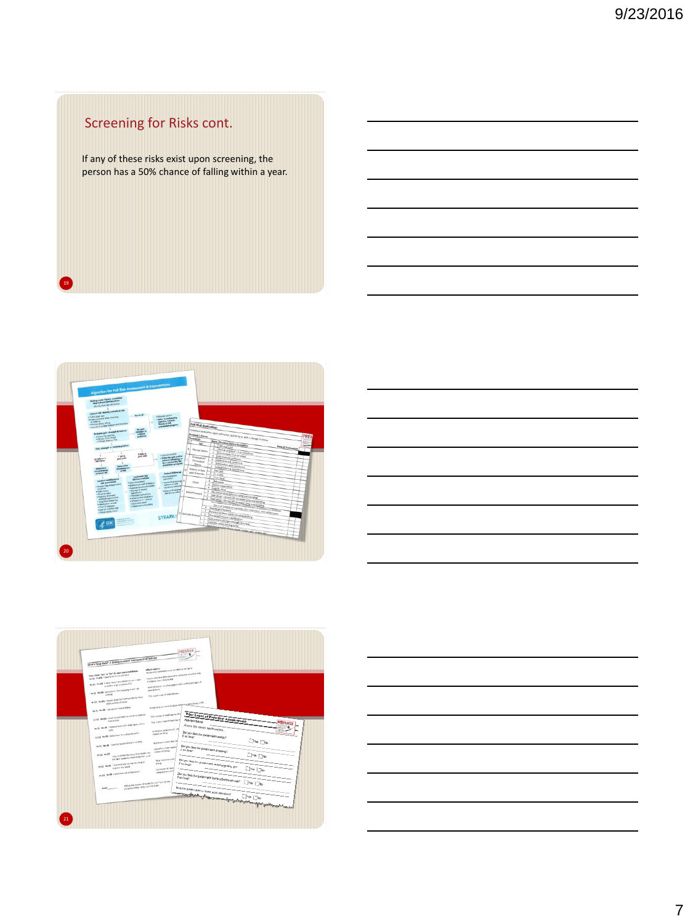# Screening for Risks cont.

19

If any of these risks exist upon screening, the person has a 50% chance of falling within a year.





| What's Your Neb1 a possby/assident noseasment of foll mk.                                                                                                                                                                                                                                                                                                                                                                                        |                      |
|--------------------------------------------------------------------------------------------------------------------------------------------------------------------------------------------------------------------------------------------------------------------------------------------------------------------------------------------------------------------------------------------------------------------------------------------------|----------------------|
| the pile who have taken or to are likely to but up it.<br>fatos: classic "key" or "but" for each statement between<br>Project to which have lowest autobased on cost as I show our weekend at the<br>WHO WASH TRANSVERSED IN FRESHERED<br>chicade for Autor: Muly ta No.<br>WAS BARR Lower and Lambdrocks up a pain<br>time of remain term that was remained by support any of<br>or waker a go a madoubly<br>WIE RAW ROUGHLIGHT<br>pair beloves |                      |
| This walker is registed good fusioned.<br>water 6<br>W-SD Bx 90   meets myst   te-holding with Summers<br>when meh by of higher.<br>morphism'share work out about hang-was apart limits to fall.<br>WITH WANT I WILANDED AND FARM.                                                                                                                                                                                                               |                      |
| <b>Prior Level of Function Assessment</b><br>This is a sign of weaking regulary<br>20-20; No 20; could be preferred by \$400 to 2000 to<br><b>Finnisherd Name</b><br><b>THEFT</b><br>Thus, is when a sign at easily lag of<br>to US. We US. These correctivaties departures years a<br>Phior to this recent health decline<br>moting to be bettered . on<br><b>Allen</b>                                                                         | <b>PREMIER</b>       |
| Did you help the patient with eating?<br><b>DOM to spect</b><br>to U.S. the DS Indian have to wait be the last of<br>If so hour?<br><b>But Artes: It jobs fast call</b><br>and the first than the company feet of the motivation<br><b>Schultz</b> over main                                                                                                                                                                                     | $\nabla u_0$         |
| Did you help the patient with divesting?<br>chance of fullful.<br>"SALING FOR SHE SAT 1995 (SNC) WARS INC.<br>milk as 36<br>God Name (number) and computers are computed from the party<br>This or mentioned for the<br>Clic you help the patient with making (enting up?<br>49-53). No (MI ) to be enabled to be to me should be<br>telling.                                                                                                    | $\neg$ Yes $\neg$ Yo |
| popme my cond<br>Selection of Sept<br>steam\$ (can. at)<br>as (1) No.26, i chase fast and or hopmonts.<br>Did you help the patient with batting batteson use?                                                                                                                                                                                                                                                                                    | Ves <sub>Wo</sub>    |
| AMEND THE THIRD OF ALLER THE LAST "WAS " MILITAR"<br>UT FA for falling. Refer to 5 345 fam.<br>where the position state in code good decisions? Down Diversify the control of the state of the state of the state of the state of the state of the state of the state of the state of the state of the state of the state of                                                                                                                     | $T$ Yes $N_0$        |

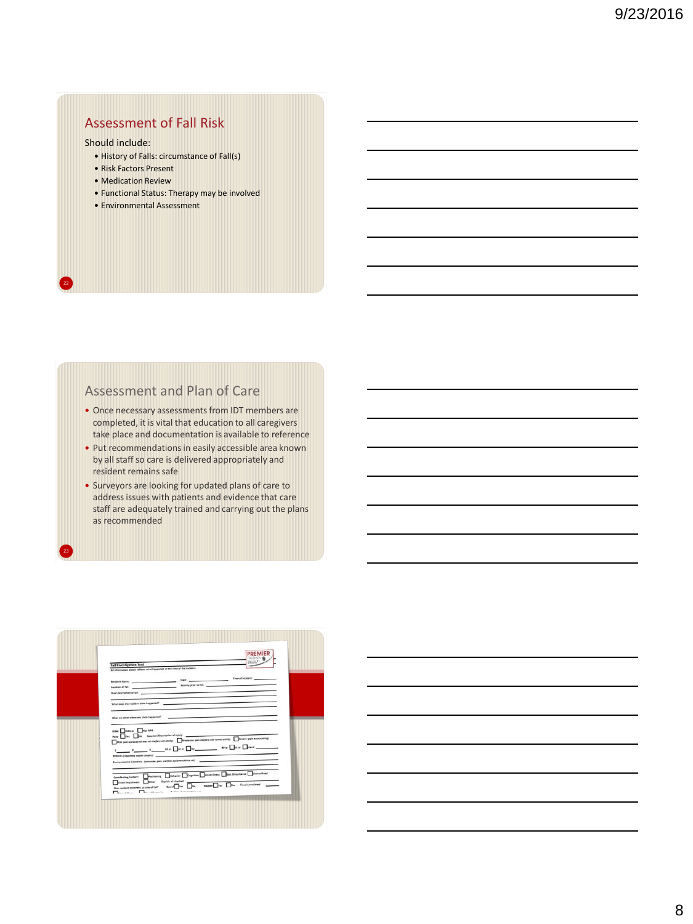# Assessment of Fall Risk

## Should include:

22

23

- History of Falls: circumstance of Fall(s)
- Risk Factors Present
- Medication Review
- Functional Status: Therapy may be involved
- Environmental Assessment

# Assessment and Plan of Care

- Once necessary assessments from IDT members are completed, it is vital that education to all caregivers take place and documentation is available to reference
- Put recommendations in easily accessible area known by all staff so care is delivered appropriately and resident remains safe
- Surveyors are looking for updated plans of care to address issues with patients and evidence that care staff are adequately trained and carrying out the plans as recommended

| excisive.<br><b>Fall Investigation Tool</b><br>All information below reflects what happened at the time of the incident.                                                                                                                                                                            |
|-----------------------------------------------------------------------------------------------------------------------------------------------------------------------------------------------------------------------------------------------------------------------------------------------------|
| Legation of full: Activity prior to full: Activity prior to full:<br>Brief description of fall: www.communication.com/communication.com/communication.com/communication.com/communication.com/communication.com/communication.com/communication.com/communication.com/communication.com/communicati |
| What does the resident state happened?                                                                                                                                                                                                                                                              |
| the control of the control of<br>What do other winnesses state happened?                                                                                                                                                                                                                            |
| <b>NOM.</b> WHEN NO NORTH<br>Pain: Ties Inc Location/Description of injury<br>Mild put expense nd me not integer with string [ ]Meditrate (paintinglese with nome activity) [ ]Devert (pain started lating)                                                                                         |
| Environmental Conserva: (nom order, gura, and foot equipment follow, etc)                                                                                                                                                                                                                           |
| Contributing Fecture: Positioning Deltarion Despites Dealer lines Dave Distribution District Lines<br>Vision Impairment   Other Explain all sheeked an                                                                                                                                              |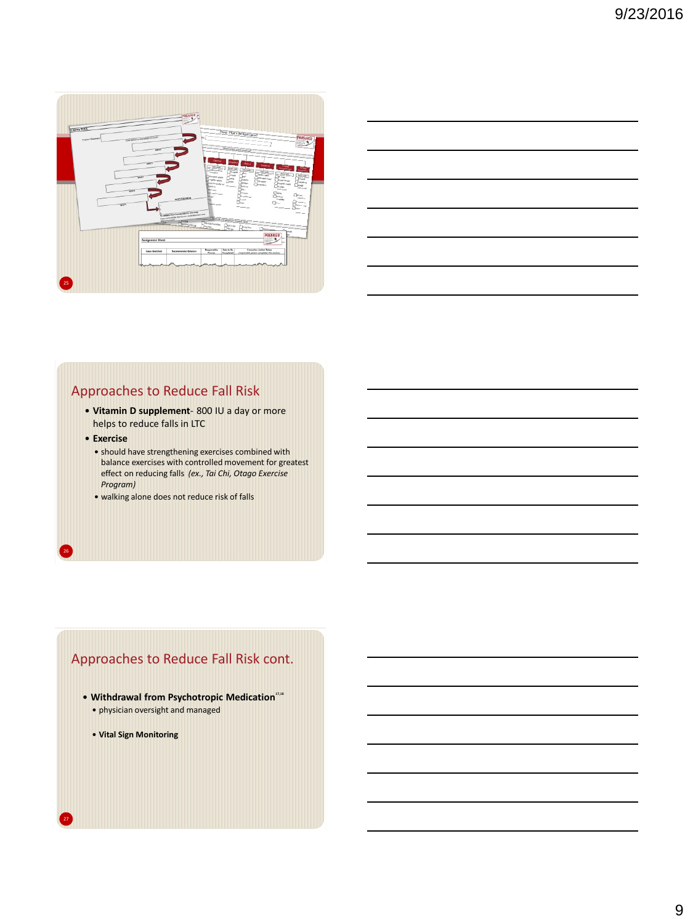

| <u> 1989 - Johann Stoff, deutscher Stoff, der Stoff, der Stoff, der Stoff, der Stoff, der Stoff, der Stoff, der S</u> |  |  |
|-----------------------------------------------------------------------------------------------------------------------|--|--|
| <u> 1989 - Johann Stoff, deutscher Stoff, der Stoff, der Stoff, der Stoff, der Stoff, der Stoff, der Stoff, der S</u> |  |  |
| <u> 1989 - Johann Barn, mars ann an t-Amhainn an t-Amhainn an t-Amhainn an t-Amhainn an t-Amhainn an t-Amhainn a</u>  |  |  |
| <u> 1989 - Johann Stoff, amerikansk politiker (d. 1989)</u>                                                           |  |  |
| <u> 1989 - Johann Barn, amerikansk politiker (d. 1989)</u>                                                            |  |  |
|                                                                                                                       |  |  |

# Approaches to Reduce Fall Risk

- **Vitamin D supplement** 800 IU a day or more helps to reduce falls in LTC
- **Exercise**

26

27

- should have strengthening exercises combined with balance exercises with controlled movement for greatest effect on reducing falls *(ex., Tai Chi, Otago Exercise Program)*
- walking alone does not reduce risk of falls

# Approaches to Reduce Fall Risk cont.

- **Withdrawal from Psychotropic Medication17,18**
	- physician oversight and managed
	- **Vital Sign Monitoring**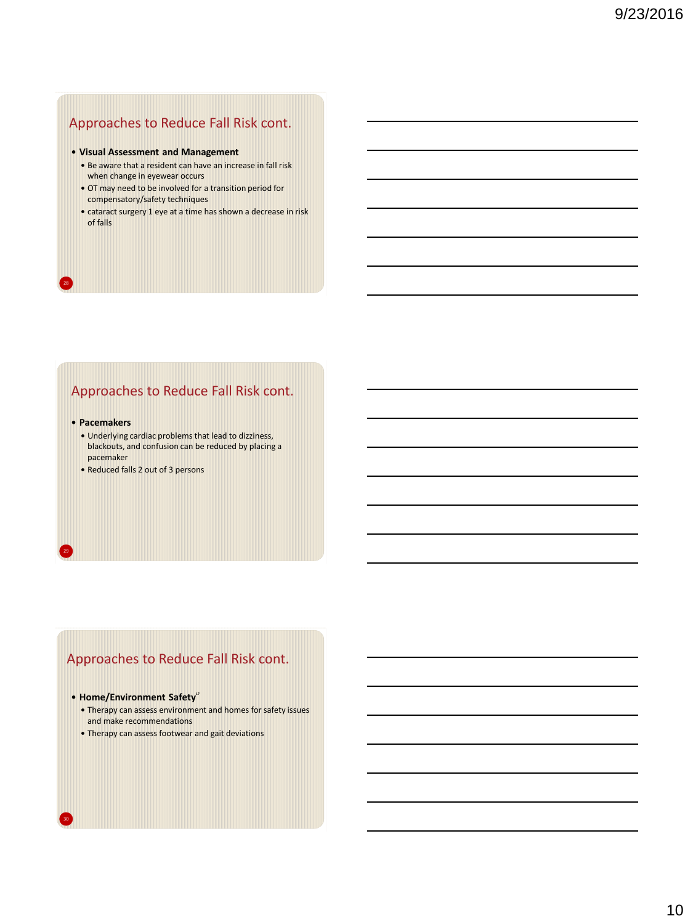# Approaches to Reduce Fall Risk cont.

#### **Visual Assessment and Management**

- Be aware that a resident can have an increase in fall risk when change in eyewear occurs
- OT may need to be involved for a transition period for compensatory/safety techniques
- cataract surgery 1 eye at a time has shown a decrease in risk of falls

# Approaches to Reduce Fall Risk cont.

#### **Pacemakers**

28

29

- Underlying cardiac problems that lead to dizziness, blackouts, and confusion can be reduced by placing a pacemaker
- Reduced falls 2 out of 3 persons

# Approaches to Reduce Fall Risk cont.

#### **Home/Environment Safety<sup>17</sup>**

- Therapy can assess environment and homes for safety issues and make recommendations
- Therapy can assess footwear and gait deviations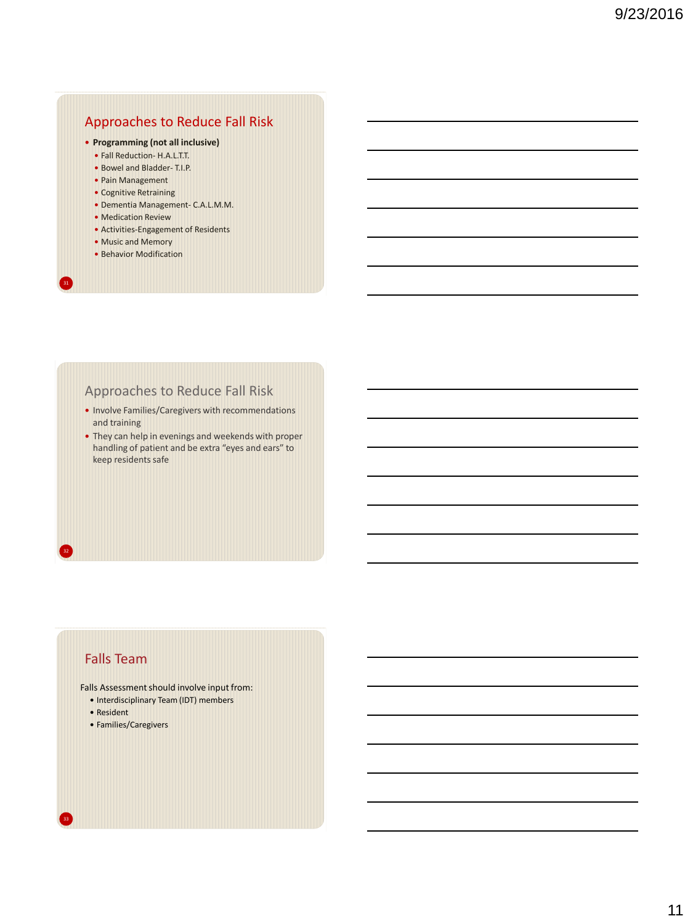# Approaches to Reduce Fall Risk

#### **Programming (not all inclusive)**

- Fall Reduction- H.A.L.T.T.
- Bowel and Bladder- T.I.P.
- Pain Management
- Cognitive Retraining
- Dementia Management- C.A.L.M.M.
- Medication Review
- Activities-Engagement of Residents
- Music and Memory

31

32

• Behavior Modification

# Approaches to Reduce Fall Risk

- Involve Families/Caregivers with recommendations and training
- They can help in evenings and weekends with proper handling of patient and be extra "eyes and ears" to keep residents safe

# Falls Team

Falls Assessment should involve input from:

- Interdisciplinary Team (IDT) members
- Resident
- Families/Caregivers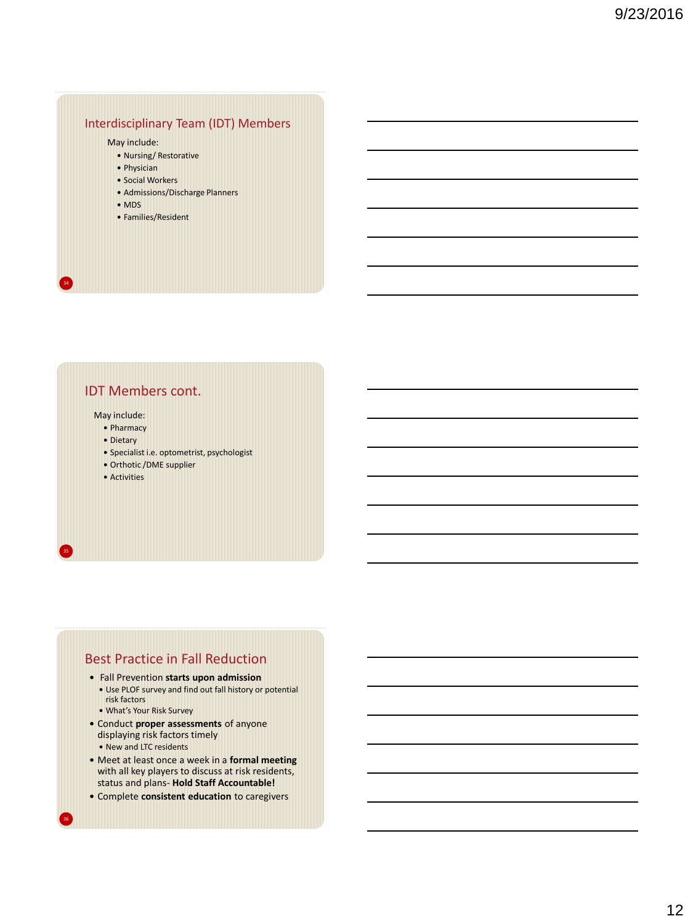## Interdisciplinary Team (IDT) Members

#### May include:

- Nursing/ Restorative
- Physician
- Social Workers
- Admissions/Discharge Planners
- MDS

34

35

36

• Families/Resident

## IDT Members cont.

May include:

- Pharmacy
- Dietary
- Specialist i.e. optometrist, psychologist
- Orthotic /DME supplier
- Activities

## Best Practice in Fall Reduction

- Fall Prevention **starts upon admission** Use PLOF survey and find out fall history or potential risk factors
	- What's Your Risk Survey
- Conduct **proper assessments** of anyone displaying risk factors timely • New and LTC residents
- Meet at least once a week in a **formal meeting**  with all key players to discuss at risk residents, status and plans- **Hold Staff Accountable!**
- Complete **consistent education** to caregivers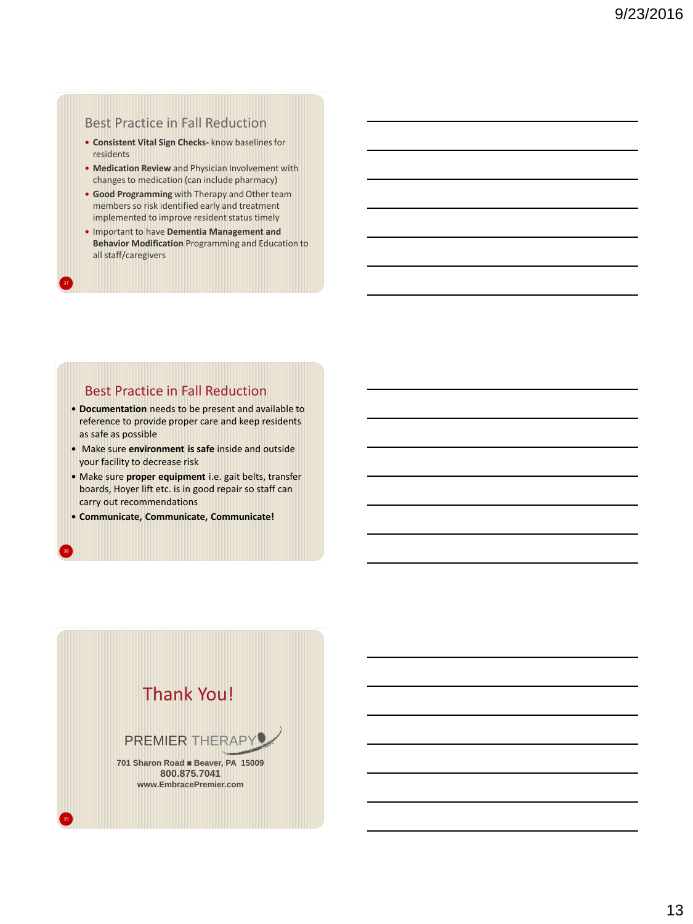## Best Practice in Fall Reduction

- **Consistent Vital Sign Checks-** know baselines for residents
- **Medication Review** and Physician Involvement with changes to medication (can include pharmacy)
- **Good Programming** with Therapy and Other team members so risk identified early and treatment implemented to improve resident status timely
- Important to have **Dementia Management and Behavior Modification** Programming and Education to all staff/caregivers

## Best Practice in Fall Reduction

37

38

39

- **Documentation** needs to be present and available to reference to provide proper care and keep residents as safe as possible
- Make sure **environment is safe** inside and outside your facility to decrease risk
- Make sure **proper equipment** i.e. gait belts, transfer boards, Hoyer lift etc. is in good repair so staff can carry out recommendations
- **Communicate, Communicate, Communicate!**

# Thank You!

# PREMIER THERAPY

**701 Sharon Road · Beaver, PA 15009 800.875.7041 www.EmbracePremier.com**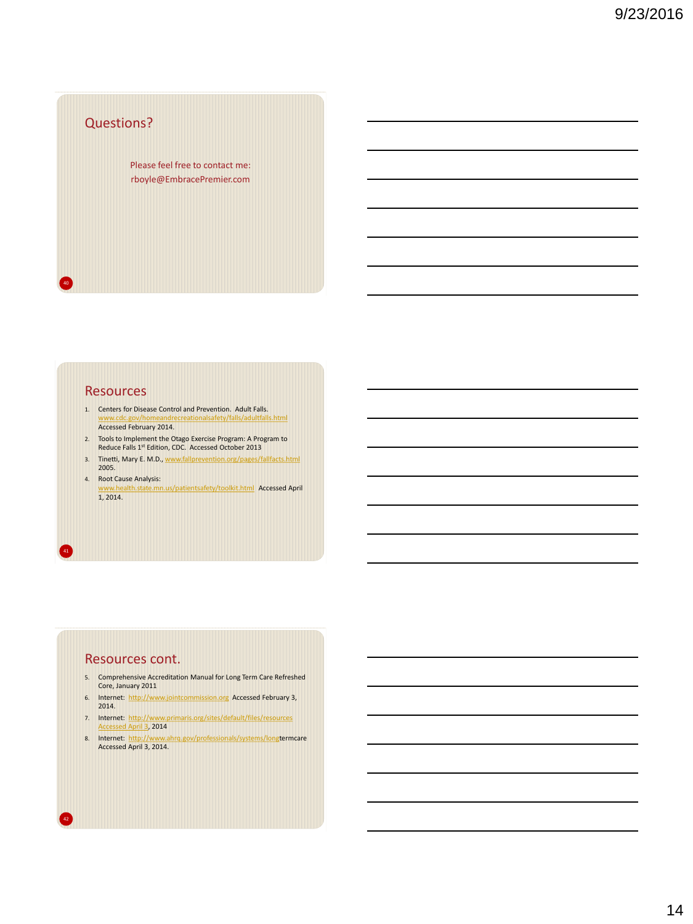# Questions? Please feel free to contact me: rboyle@EmbracePremier.com

## **Resources**

40

41

42

- 1. Centers for Disease Control and Prevention. Adult Falls. ety/falls/adultfalls.html Accessed February 2014.
- 2. Tools to Implement the Otago Exercise Program: A Program to Reduce Falls 1st Edition, CDC. Accessed October 2013
- 3. Tinetti, Mary E. M.D., [www.fallprevention.org/pages/fallfacts.html](http://www.fallprevention.org/pages/fallfacts.html)  2005.
- 4. Root Cause Analysis: www.healthealth.state.html Accessed April 1, 2014.

## Resources cont.

- 5. Comprehensive Accreditation Manual for Long Term Care Refreshed Core, January 2011
- 6. Internet: [http://www.jointcommission.org](http://www.jointcommission.org/) Accessed February 3, 2014.
- 7. Internet: [http://www.primaris.org/sites/default/files/resources](http://www.primaris.org/sites/default/files/resources Accessed April 3)  [Accessed April 3,](http://www.primaris.org/sites/default/files/resources Accessed April 3) 2014
- 8. Internet: [http://www.ahrq.gov/professionals/systems/longt](http://www.ahrq.gov/professionals/systems/long)ermcare Accessed April 3, 2014.